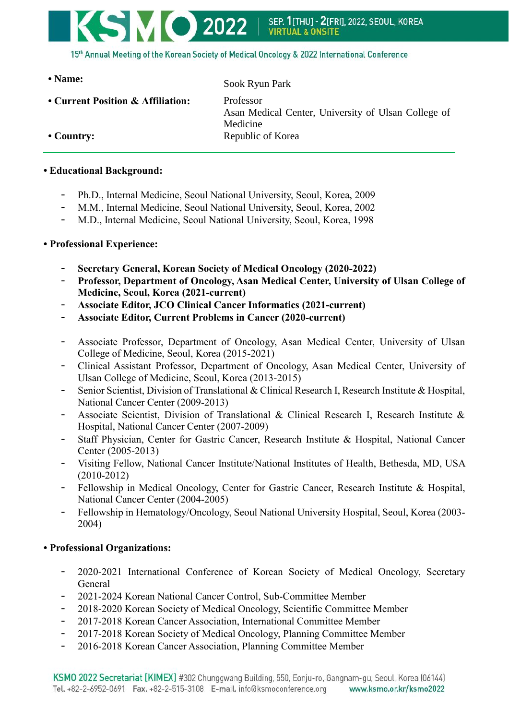

**• Name:**

Sook Ryun Park

• Current Position & Affiliation: Professor

Asan Medical Center, University of Ulsan College of Medicine

• Country: Republic of Korea

## **• Educational Background:**

- Ph.D., Internal Medicine, Seoul National University, Seoul, Korea, 2009
- M.M., Internal Medicine, Seoul National University, Seoul, Korea, 2002
- M.D., Internal Medicine, Seoul National University, Seoul, Korea, 1998

## **• Professional Experience:**

- **Secretary General, Korean Society of Medical Oncology (2020-2022)**
- **Professor, Department of Oncology, Asan Medical Center, University of Ulsan College of Medicine, Seoul, Korea (2021-current)**
- **Associate Editor, JCO Clinical Cancer Informatics (2021-current)**
- **Associate Editor, Current Problems in Cancer (2020-current)**
- Associate Professor, Department of Oncology, Asan Medical Center, University of Ulsan College of Medicine, Seoul, Korea (2015-2021)
- Clinical Assistant Professor, Department of Oncology, Asan Medical Center, University of Ulsan College of Medicine, Seoul, Korea (2013-2015)
- Senior Scientist, Division of Translational & Clinical Research I, Research Institute & Hospital, National Cancer Center (2009-2013)
- Associate Scientist, Division of Translational & Clinical Research I, Research Institute & Hospital, National Cancer Center (2007-2009)
- Staff Physician, Center for Gastric Cancer, Research Institute & Hospital, National Cancer Center (2005-2013)
- Visiting Fellow, National Cancer Institute/National Institutes of Health, Bethesda, MD, USA (2010-2012)
- Fellowship in Medical Oncology, Center for Gastric Cancer, Research Institute & Hospital, National Cancer Center (2004-2005)
- Fellowship in Hematology/Oncology, Seoul National University Hospital, Seoul, Korea (2003- 2004)

## **• Professional Organizations:**

- 2020-2021 International Conference of Korean Society of Medical Oncology, Secretary General
- 2021-2024 Korean National Cancer Control, Sub-Committee Member
- 2018-2020 Korean Society of Medical Oncology, Scientific Committee Member
- 2017-2018 Korean Cancer Association, International Committee Member
- 2017-2018 Korean Society of Medical Oncology, Planning Committee Member
- 2016-2018 Korean Cancer Association, Planning Committee Member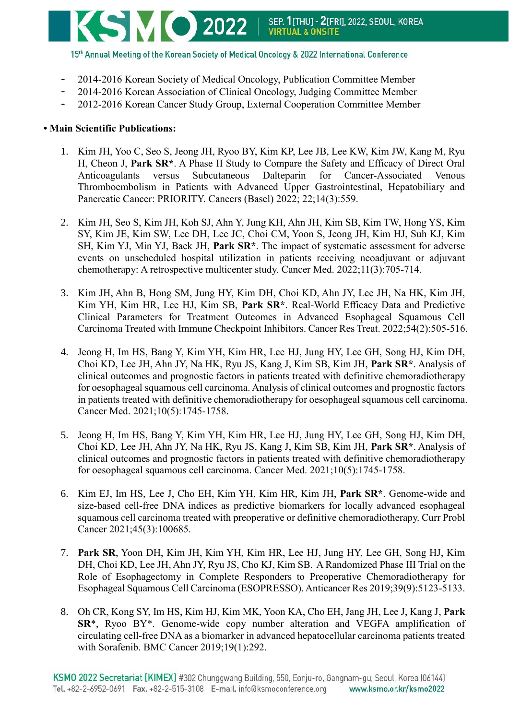

- 2014-2016 Korean Society of Medical Oncology, Publication Committee Member
- 2014-2016 Korean Association of Clinical Oncology, Judging Committee Member
- 2012-2016 Korean Cancer Study Group, External Cooperation Committee Member

## **• Main Scientific Publications:**

- 1. Kim JH, Yoo C, Seo S, Jeong JH, Ryoo BY, Kim KP, Lee JB, Lee KW, Kim JW, Kang M, Ryu H, Cheon J, **Park SR\***. A Phase II Study to Compare the Safety and Efficacy of Direct Oral Anticoagulants versus Subcutaneous Dalteparin for Cancer-Associated Venous Thromboembolism in Patients with Advanced Upper Gastrointestinal, Hepatobiliary and Pancreatic Cancer: PRIORITY. Cancers (Basel) 2022; 22;14(3):559.
- 2. Kim JH, Seo S, Kim JH, Koh SJ, Ahn Y, Jung KH, Ahn JH, Kim SB, Kim TW, Hong YS, Kim SY, Kim JE, Kim SW, Lee DH, Lee JC, Choi CM, Yoon S, Jeong JH, Kim HJ, Suh KJ, Kim SH, Kim YJ, Min YJ, Baek JH, **Park SR\***. The impact of systematic assessment for adverse events on unscheduled hospital utilization in patients receiving neoadjuvant or adjuvant chemotherapy: A retrospective multicenter study. Cancer Med. 2022;11(3):705-714.
- 3. Kim JH, Ahn B, Hong SM, Jung HY, Kim DH, Choi KD, Ahn JY, Lee JH, Na HK, Kim JH, Kim YH, Kim HR, Lee HJ, Kim SB, **Park SR\***. Real-World Efficacy Data and Predictive Clinical Parameters for Treatment Outcomes in Advanced Esophageal Squamous Cell Carcinoma Treated with Immune Checkpoint Inhibitors. Cancer Res Treat. 2022;54(2):505-516.
- 4. Jeong H, Im HS, Bang Y, Kim YH, Kim HR, Lee HJ, Jung HY, Lee GH, Song HJ, Kim DH, Choi KD, Lee JH, Ahn JY, Na HK, Ryu JS, Kang J, Kim SB, Kim JH, **Park SR\***. Analysis of clinical outcomes and prognostic factors in patients treated with definitive chemoradiotherapy for oesophageal squamous cell carcinoma. Analysis of clinical outcomes and prognostic factors in patients treated with definitive chemoradiotherapy for oesophageal squamous cell carcinoma. Cancer Med. 2021;10(5):1745-1758.
- 5. Jeong H, Im HS, Bang Y, Kim YH, Kim HR, Lee HJ, Jung HY, Lee GH, Song HJ, Kim DH, Choi KD, Lee JH, Ahn JY, Na HK, Ryu JS, Kang J, Kim SB, Kim JH, **Park SR\***. Analysis of clinical outcomes and prognostic factors in patients treated with definitive chemoradiotherapy for oesophageal squamous cell carcinoma. Cancer Med. 2021;10(5):1745-1758.
- 6. Kim EJ, Im HS, Lee J, Cho EH, Kim YH, Kim HR, Kim JH, **Park SR\***. Genome-wide and size-based cell-free DNA indices as predictive biomarkers for locally advanced esophageal squamous cell carcinoma treated with preoperative or definitive chemoradiotherapy. Curr Probl Cancer 2021;45(3):100685.
- 7. **Park SR**, Yoon DH, Kim JH, Kim YH, Kim HR, Lee HJ, Jung HY, Lee GH, Song HJ, Kim DH, Choi KD, Lee JH, Ahn JY, Ryu JS, Cho KJ, Kim SB. A Randomized Phase III Trial on the Role of Esophagectomy in Complete Responders to Preoperative Chemoradiotherapy for Esophageal Squamous Cell Carcinoma (ESOPRESSO). Anticancer Res 2019;39(9):5123-5133.
- 8. Oh CR, Kong SY, Im HS, Kim HJ, Kim MK, Yoon KA, Cho EH, Jang JH, Lee J, Kang J, **Park SR**\*, Ryoo BY\*. Genome-wide copy number alteration and VEGFA amplification of circulating cell-free DNA as a biomarker in advanced hepatocellular carcinoma patients treated with Sorafenib. BMC Cancer 2019;19(1):292.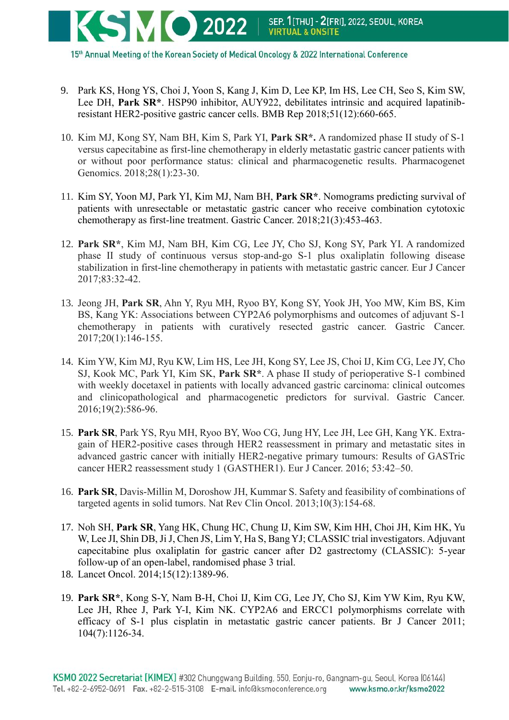

- 9. Park KS, Hong YS, Choi J, Yoon S, Kang J, Kim D, Lee KP, Im HS, Lee CH, Seo S, Kim SW, Lee DH, **Park SR\***. HSP90 inhibitor, AUY922, debilitates intrinsic and acquired lapatinibresistant HER2-positive gastric cancer cells. BMB Rep 2018;51(12):660-665.
- 10. Kim MJ, Kong SY, Nam BH, Kim S, Park YI, **Park SR\*.** A randomized phase II study of S-1 versus capecitabine as first-line chemotherapy in elderly metastatic gastric cancer patients with or without poor performance status: clinical and pharmacogenetic results. Pharmacogenet Genomics. 2018;28(1):23-30.
- 11. Kim SY, Yoon MJ, Park YI, Kim MJ, Nam BH, **Park SR\***. Nomograms predicting survival of patients with unresectable or metastatic gastric cancer who receive combination cytotoxic chemotherapy as first-line treatment. Gastric Cancer. 2018;21(3):453-463.
- 12. **Park SR\***, Kim MJ, Nam BH, Kim CG, Lee JY, Cho SJ, Kong SY, Park YI. A randomized phase II study of continuous versus stop-and-go S-1 plus oxaliplatin following disease stabilization in first-line chemotherapy in patients with metastatic gastric cancer. Eur J Cancer 2017;83:32-42.
- 13. Jeong JH, **Park SR**, Ahn Y, Ryu MH, Ryoo BY, Kong SY, Yook JH, Yoo MW, Kim BS, Kim BS, Kang YK: Associations between CYP2A6 polymorphisms and outcomes of adjuvant S-1 chemotherapy in patients with curatively resected gastric cancer. Gastric Cancer. 2017;20(1):146-155.
- 14. Kim YW, Kim MJ, Ryu KW, Lim HS, Lee JH, Kong SY, Lee JS, Choi IJ, Kim CG, Lee JY, Cho SJ, Kook MC, Park YI, Kim SK, **Park SR\***. A phase II study of perioperative S-1 combined with weekly docetaxel in patients with locally advanced gastric carcinoma: clinical outcomes and clinicopathological and pharmacogenetic predictors for survival. Gastric Cancer. 2016;19(2):586-96.
- 15. **Park SR**, Park YS, Ryu MH, Ryoo BY, Woo CG, Jung HY, Lee JH, Lee GH, Kang YK. Extragain of HER2-positive cases through HER2 reassessment in primary and metastatic sites in advanced gastric cancer with initially HER2-negative primary tumours: Results of GASTric cancer HER2 reassessment study 1 (GASTHER1). Eur J Cancer. 2016; 53:42–50.
- 16. **Park SR**, Davis-Millin M, Doroshow JH, Kummar S. Safety and feasibility of combinations of targeted agents in solid tumors. Nat Rev Clin Oncol. 2013;10(3):154-68.
- 17. Noh SH, **Park SR**, Yang HK, Chung HC, Chung IJ, Kim SW, Kim HH, Choi JH, Kim HK, Yu W, Lee JI, Shin DB, Ji J, Chen JS, Lim Y, Ha S, Bang YJ; CLASSIC trial investigators. Adjuvant capecitabine plus oxaliplatin for gastric cancer after D2 gastrectomy (CLASSIC): 5-year follow-up of an open-label, randomised phase 3 trial.
- 18. Lancet Oncol. 2014;15(12):1389-96.
- 19. **Park SR\***, Kong S-Y, Nam B-H, Choi IJ, Kim CG, Lee JY, Cho SJ, Kim YW Kim, Ryu KW, Lee JH, Rhee J, Park Y-I, Kim NK. CYP2A6 and ERCC1 polymorphisms correlate with efficacy of S-1 plus cisplatin in metastatic gastric cancer patients. Br J Cancer 2011; 104(7):1126-34.